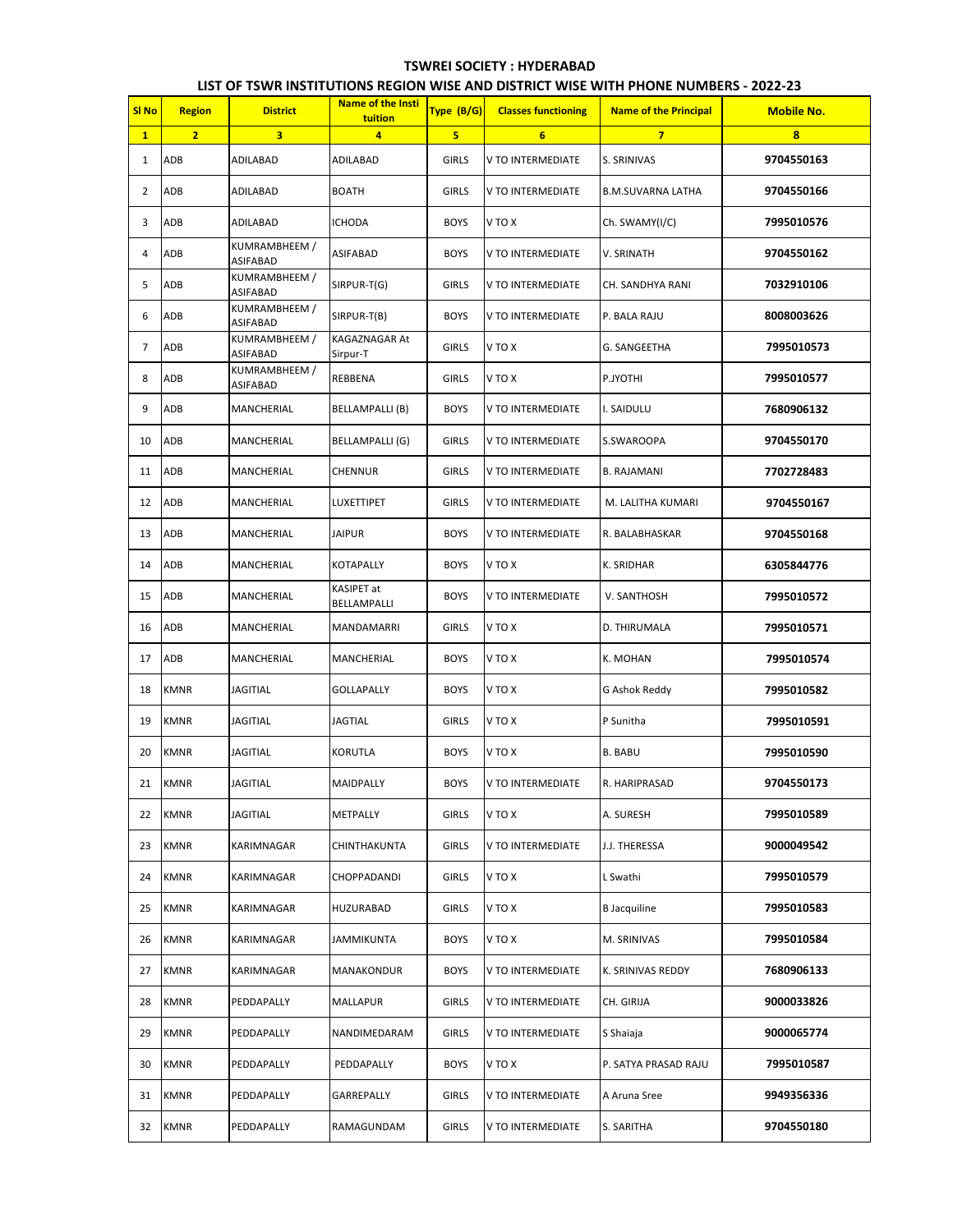## **TSWREI SOCIETY : HYDERABAD**

|                  | LIST OF TSWR INSTITUTIONS REGION WISE AND DISTRICT WISE WITH PHONE NUMBERS - 2022-23 |                                  |                                     |              |                            |                              |                   |  |  |  |  |
|------------------|--------------------------------------------------------------------------------------|----------------------------------|-------------------------------------|--------------|----------------------------|------------------------------|-------------------|--|--|--|--|
| SI <sub>No</sub> | <b>Region</b>                                                                        | <b>District</b>                  | <b>Name of the Insti</b><br>tuition | Type (B/G)   | <b>Classes functioning</b> | <b>Name of the Principal</b> | <b>Mobile No.</b> |  |  |  |  |
| 1                | $\overline{2}$                                                                       | 3                                | $\overline{4}$                      | 5            | 6                          | $\overline{7}$               | 8                 |  |  |  |  |
| 1                | ADB                                                                                  | ADILABAD                         | ADILABAD                            | <b>GIRLS</b> | V TO INTERMEDIATE          | S. SRINIVAS                  | 9704550163        |  |  |  |  |
| 2                | ADB                                                                                  | ADILABAD                         | <b>BOATH</b>                        | <b>GIRLS</b> | V TO INTERMEDIATE          | <b>B.M.SUVARNA LATHA</b>     | 9704550166        |  |  |  |  |
| 3                | ADB                                                                                  | ADILABAD                         | <b>ICHODA</b>                       | <b>BOYS</b>  | V TO X                     | Ch. SWAMY(I/C)               | 7995010576        |  |  |  |  |
| 4                | ADB                                                                                  | KUMRAMBHEEM /<br><b>ASIFABAD</b> | ASIFABAD                            | <b>BOYS</b>  | V TO INTERMEDIATE          | V. SRINATH                   | 9704550162        |  |  |  |  |
| 5                | ADB                                                                                  | KUMRAMBHEEM /<br><b>ASIFABAD</b> | SIRPUR-T(G)                         | <b>GIRLS</b> | V TO INTERMEDIATE          | CH. SANDHYA RANI             | 7032910106        |  |  |  |  |
| 6                | ADB                                                                                  | KUMRAMBHEEM /<br><b>ASIFABAD</b> | SIRPUR-T(B)                         | <b>BOYS</b>  | V TO INTERMEDIATE          | P. BALA RAJU                 | 8008003626        |  |  |  |  |
| 7                | ADB                                                                                  | KUMRAMBHEEM /<br><b>ASIFABAD</b> | KAGAZNAGAR At<br>Sirpur-T           | <b>GIRLS</b> | V TO X                     | G. SANGEETHA                 | 7995010573        |  |  |  |  |
| 8                | ADB                                                                                  | KUMRAMBHEEM /<br>ASIFABAD        | REBBENA                             | <b>GIRLS</b> | V TO X                     | P.JYOTHI                     | 7995010577        |  |  |  |  |
| 9                | ADB                                                                                  | MANCHERIAL                       | <b>BELLAMPALLI (B)</b>              | <b>BOYS</b>  | V TO INTERMEDIATE          | I. SAIDULU                   | 7680906132        |  |  |  |  |
| 10               | ADB                                                                                  | MANCHERIAL                       | BELLAMPALLI (G)                     | <b>GIRLS</b> | V TO INTERMEDIATE          | S.SWAROOPA                   | 9704550170        |  |  |  |  |
| 11               | ADB                                                                                  | MANCHERIAL                       | <b>CHENNUR</b>                      | <b>GIRLS</b> | V TO INTERMEDIATE          | <b>B. RAJAMANI</b>           | 7702728483        |  |  |  |  |
| 12               | ADB                                                                                  | MANCHERIAL                       | <b>LUXETTIPET</b>                   | <b>GIRLS</b> | V TO INTERMEDIATE          | M. LALITHA KUMARI            | 9704550167        |  |  |  |  |
| 13               | ADB                                                                                  | MANCHERIAL                       | JAIPUR                              | <b>BOYS</b>  | V TO INTERMEDIATE          | R. BALABHASKAR               | 9704550168        |  |  |  |  |
| 14               | ADB                                                                                  | MANCHERIAL                       | KOTAPALLY                           | <b>BOYS</b>  | V TO X                     | K. SRIDHAR                   | 6305844776        |  |  |  |  |
| 15               | ADB                                                                                  | MANCHERIAL                       | KASIPET at<br>BELLAMPALLI           | <b>BOYS</b>  | V TO INTERMEDIATE          | V. SANTHOSH                  | 7995010572        |  |  |  |  |
| 16               | ADB                                                                                  | MANCHERIAL                       | MANDAMARRI                          | <b>GIRLS</b> | V TO X                     | D. THIRUMALA                 | 7995010571        |  |  |  |  |
| 17               | ADB                                                                                  | MANCHERIAL                       | MANCHERIAL                          | <b>BOYS</b>  | V TO X                     | K. MOHAN                     | 7995010574        |  |  |  |  |
| 18               | <b>KMNR</b>                                                                          | <b>JAGITIAL</b>                  | <b>GOLLAPALLY</b>                   | <b>BOYS</b>  | V TO X                     | <b>G Ashok Reddy</b>         | 7995010582        |  |  |  |  |
| 19               | <b>KMNR</b>                                                                          | JAGITIAL                         | JAGTIAL                             | <b>GIRLS</b> | V TO X                     | P Sunitha                    | 7995010591        |  |  |  |  |
| 20               | <b>KMNR</b>                                                                          | <b>JAGITIAL</b>                  | KORUTLA                             | <b>BOYS</b>  | V TO X                     | <b>B. BABU</b>               | 7995010590        |  |  |  |  |
| 21               | <b>KMNR</b>                                                                          | <b>JAGITIAL</b>                  | MAIDPALLY                           | <b>BOYS</b>  | V TO INTERMEDIATE          | R. HARIPRASAD                | 9704550173        |  |  |  |  |
| 22               | <b>KMNR</b>                                                                          | JAGITIAL                         | METPALLY                            | <b>GIRLS</b> | V TO X                     | A. SURESH                    | 7995010589        |  |  |  |  |
| 23               | <b>KMNR</b>                                                                          | KARIMNAGAR                       | CHINTHAKUNTA                        | <b>GIRLS</b> | V TO INTERMEDIATE          | J.J. THERESSA                | 9000049542        |  |  |  |  |
| 24               | <b>KMNR</b>                                                                          | KARIMNAGAR                       | CHOPPADANDI                         | <b>GIRLS</b> | V TO X                     | L Swathi                     | 7995010579        |  |  |  |  |
| 25               | <b>KMNR</b>                                                                          | KARIMNAGAR                       | HUZURABAD                           | <b>GIRLS</b> | V TO X                     | <b>B</b> Jacquiline          | 7995010583        |  |  |  |  |
| 26               | <b>KMNR</b>                                                                          | KARIMNAGAR                       | JAMMIKUNTA                          | <b>BOYS</b>  | V TO X                     | M. SRINIVAS                  | 7995010584        |  |  |  |  |
| 27               | <b>KMNR</b>                                                                          | KARIMNAGAR                       | <b>MANAKONDUR</b>                   | <b>BOYS</b>  | V TO INTERMEDIATE          | K. SRINIVAS REDDY            | 7680906133        |  |  |  |  |
| 28               | <b>KMNR</b>                                                                          | PEDDAPALLY                       | MALLAPUR                            | <b>GIRLS</b> | V TO INTERMEDIATE          | CH. GIRIJA                   | 9000033826        |  |  |  |  |
| 29               | <b>KMNR</b>                                                                          | PEDDAPALLY                       | NANDIMEDARAM                        | <b>GIRLS</b> | V TO INTERMEDIATE          | S Shaiaja                    | 9000065774        |  |  |  |  |
| 30               | <b>KMNR</b>                                                                          | PEDDAPALLY                       | PEDDAPALLY                          | <b>BOYS</b>  | <b>V TO X</b>              | P. SATYA PRASAD RAJU         | 7995010587        |  |  |  |  |
| 31               | <b>KMNR</b>                                                                          | PEDDAPALLY                       | GARREPALLY                          | <b>GIRLS</b> | V TO INTERMEDIATE          | A Aruna Sree                 | 9949356336        |  |  |  |  |
| 32               | <b>KMNR</b>                                                                          | PEDDAPALLY                       | RAMAGUNDAM                          | <b>GIRLS</b> | V TO INTERMEDIATE          | S. SARITHA                   | 9704550180        |  |  |  |  |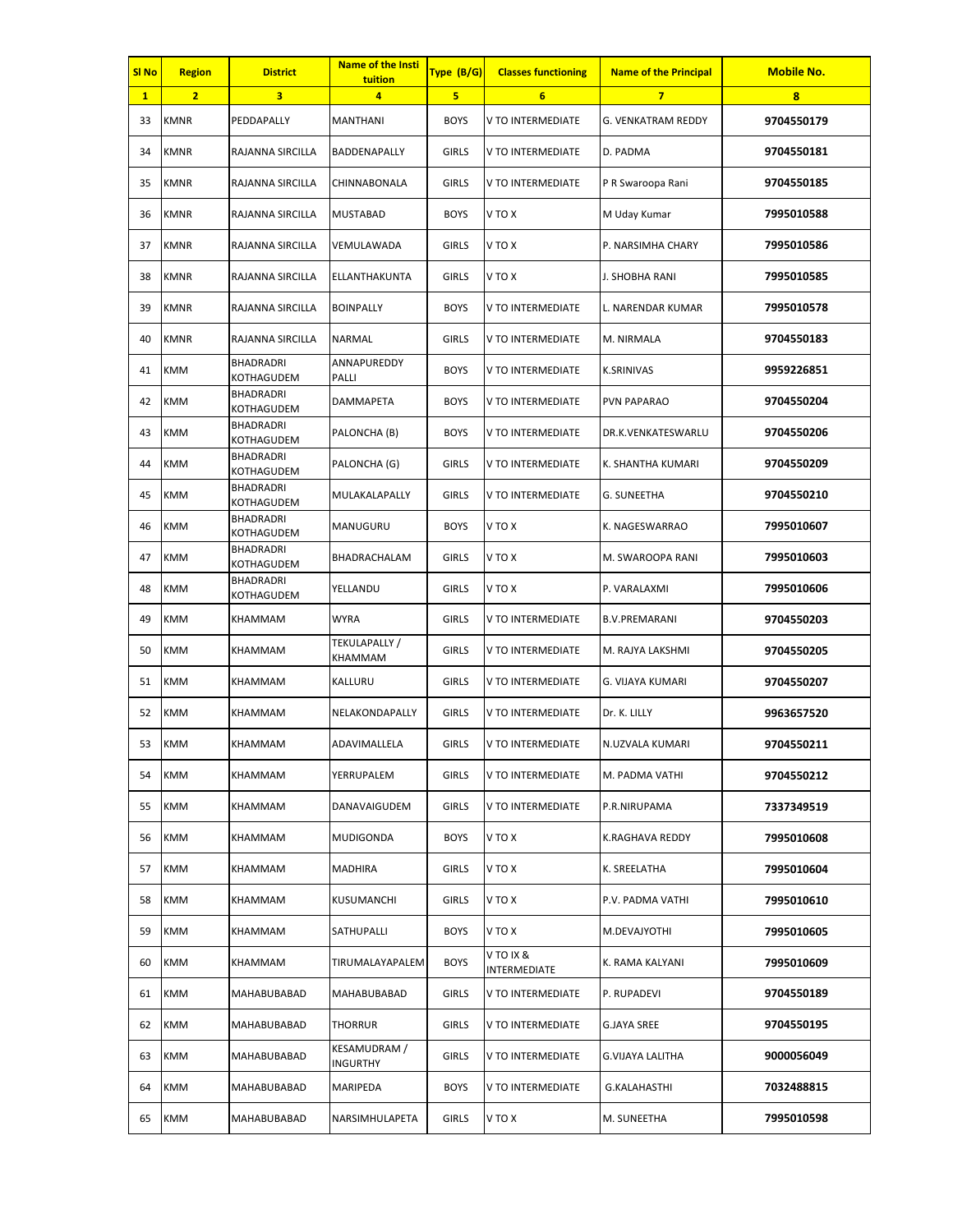| SI <sub>No</sub> | <b>Region</b>  | <b>District</b>                | <b>Name of the Insti</b><br>tuition | Type (B/G)   | <b>Classes functioning</b> | <b>Name of the Principal</b> | <b>Mobile No.</b> |
|------------------|----------------|--------------------------------|-------------------------------------|--------------|----------------------------|------------------------------|-------------------|
| $\mathbf{1}$     | $\overline{2}$ | 3                              | 4                                   | 5            | $6\overline{6}$            | $\overline{7}$               | 8                 |
| 33               | <b>KMNR</b>    | PEDDAPALLY                     | <b>MANTHANI</b>                     | <b>BOYS</b>  | V TO INTERMEDIATE          | G. VENKATRAM REDDY           | 9704550179        |
| 34               | <b>KMNR</b>    | RAJANNA SIRCILLA               | BADDENAPALLY                        | <b>GIRLS</b> | V TO INTERMEDIATE          | D. PADMA                     | 9704550181        |
| 35               | <b>KMNR</b>    | RAJANNA SIRCILLA               | CHINNABONALA                        | <b>GIRLS</b> | V TO INTERMEDIATE          | P R Swaroopa Rani            | 9704550185        |
| 36               | <b>KMNR</b>    | RAJANNA SIRCILLA               | <b>MUSTABAD</b>                     | <b>BOYS</b>  | V TO X                     | M Uday Kumar                 | 7995010588        |
| 37               | <b>KMNR</b>    | RAJANNA SIRCILLA               | VEMULAWADA                          | <b>GIRLS</b> | V TO X                     | P. NARSIMHA CHARY            | 7995010586        |
| 38               | <b>KMNR</b>    | RAJANNA SIRCILLA               | ELLANTHAKUNTA                       | <b>GIRLS</b> | V TO X                     | J. SHOBHA RANI               | 7995010585        |
| 39               | <b>KMNR</b>    | RAJANNA SIRCILLA               | <b>BOINPALLY</b>                    | <b>BOYS</b>  | V TO INTERMEDIATE          | L. NARENDAR KUMAR            | 7995010578        |
| 40               | <b>KMNR</b>    | RAJANNA SIRCILLA               | NARMAL                              | <b>GIRLS</b> | V TO INTERMEDIATE          | M. NIRMALA                   | 9704550183        |
| 41               | <b>KMM</b>     | <b>BHADRADRI</b><br>KOTHAGUDEM | ANNAPUREDDY<br>PALLI                | <b>BOYS</b>  | V TO INTERMEDIATE          | <b>K.SRINIVAS</b>            | 9959226851        |
| 42               | <b>KMM</b>     | <b>BHADRADRI</b><br>KOTHAGUDEM | <b>DAMMAPETA</b>                    | <b>BOYS</b>  | V TO INTERMEDIATE          | <b>PVN PAPARAO</b>           | 9704550204        |
| 43               | <b>KMM</b>     | <b>BHADRADRI</b><br>KOTHAGUDEM | PALONCHA (B)                        | <b>BOYS</b>  | V TO INTERMEDIATE          | DR.K.VENKATESWARLU           | 9704550206        |
| 44               | <b>KMM</b>     | <b>BHADRADRI</b><br>KOTHAGUDEM | PALONCHA (G)                        | <b>GIRLS</b> | V TO INTERMEDIATE          | K. SHANTHA KUMARI            | 9704550209        |
| 45               | KMM            | <b>BHADRADRI</b><br>KOTHAGUDEM | MULAKALAPALLY                       | <b>GIRLS</b> | V TO INTERMEDIATE          | G. SUNEETHA                  | 9704550210        |
| 46               | <b>KMM</b>     | BHADRADRI<br>KOTHAGUDEM        | MANUGURU                            | <b>BOYS</b>  | V TO X                     | K. NAGESWARRAO               | 7995010607        |
| 47               | <b>KMM</b>     | <b>BHADRADRI</b><br>KOTHAGUDEM | BHADRACHALAM                        | <b>GIRLS</b> | V TO X                     | M. SWAROOPA RANI             | 7995010603        |
| 48               | <b>KMM</b>     | <b>BHADRADRI</b><br>KOTHAGUDEM | YELLANDU                            | <b>GIRLS</b> | V TO X                     | P. VARALAXMI                 | 7995010606        |
| 49               | <b>KMM</b>     | KHAMMAM                        | <b>WYRA</b>                         | <b>GIRLS</b> | V TO INTERMEDIATE          | <b>B.V.PREMARANI</b>         | 9704550203        |
| 50               | <b>KMM</b>     | <b>KHAMMAM</b>                 | TEKULAPALLY /<br>KHAMMAM            | <b>GIRLS</b> | V TO INTERMEDIATE          | M. RAJYA LAKSHMI             | 9704550205        |
| 51               | <b>KMM</b>     | KHAMMAM                        | KALLURU                             | <b>GIRLS</b> | V TO INTERMEDIATE          | G. VIJAYA KUMARI             | 9704550207        |
| 52               | <b>KMM</b>     | KHAMMAM                        | NELAKONDAPALLY                      | <b>GIRLS</b> | V TO INTERMEDIATE          | Dr. K. LILLY                 | 9963657520        |
| 53               | <b>KMM</b>     | KHAMMAM                        | ADAVIMALLELA                        | GIRLS        | V TO INTERMEDIATE          | N.UZVALA KUMARI              | 9704550211        |
| 54               | <b>KMM</b>     | KHAMMAM                        | YERRUPALEM                          | <b>GIRLS</b> | V TO INTERMEDIATE          | M. PADMA VATHI               | 9704550212        |
| 55               | <b>KMM</b>     | KHAMMAM                        | DANAVAIGUDEM                        | <b>GIRLS</b> | V TO INTERMEDIATE          | P.R.NIRUPAMA                 | 7337349519        |
| 56               | <b>KMM</b>     | KHAMMAM                        | <b>MUDIGONDA</b>                    | <b>BOYS</b>  | V TO X                     | K.RAGHAVA REDDY              | 7995010608        |
| 57               | <b>KMM</b>     | KHAMMAM                        | MADHIRA                             | <b>GIRLS</b> | V TO X                     | K. SREELATHA                 | 7995010604        |
| 58               | <b>KMM</b>     | KHAMMAM                        | KUSUMANCHI                          | <b>GIRLS</b> | V TO X                     | P.V. PADMA VATHI             | 7995010610        |
| 59               | <b>KMM</b>     | KHAMMAM                        | SATHUPALLI                          | <b>BOYS</b>  | V TO X                     | M.DEVAJYOTHI                 | 7995010605        |
| 60               | <b>KMM</b>     | KHAMMAM                        | TIRUMALAYAPALEM                     | <b>BOYS</b>  | V TO IX &<br>INTERMEDIATE  | K. RAMA KALYANI              | 7995010609        |
| 61               | <b>KMM</b>     | MAHABUBABAD                    | MAHABUBABAD                         | <b>GIRLS</b> | V TO INTERMEDIATE          | P. RUPADEVI                  | 9704550189        |
| 62               | <b>KMM</b>     | MAHABUBABAD                    | <b>THORRUR</b>                      | <b>GIRLS</b> | V TO INTERMEDIATE          | G.JAYA SREE                  | 9704550195        |
| 63               | <b>KMM</b>     | MAHABUBABAD                    | KESAMUDRAM /<br>INGURTHY            | <b>GIRLS</b> | V TO INTERMEDIATE          | G.VIJAYA LALITHA             | 9000056049        |
| 64               | <b>KMM</b>     | MAHABUBABAD                    | MARIPEDA                            | <b>BOYS</b>  | V TO INTERMEDIATE          | <b>G.KALAHASTHI</b>          | 7032488815        |
| 65               | <b>KMM</b>     | MAHABUBABAD                    | NARSIMHULAPETA                      | <b>GIRLS</b> | V TO X                     | M. SUNEETHA                  | 7995010598        |
|                  |                |                                |                                     |              |                            |                              |                   |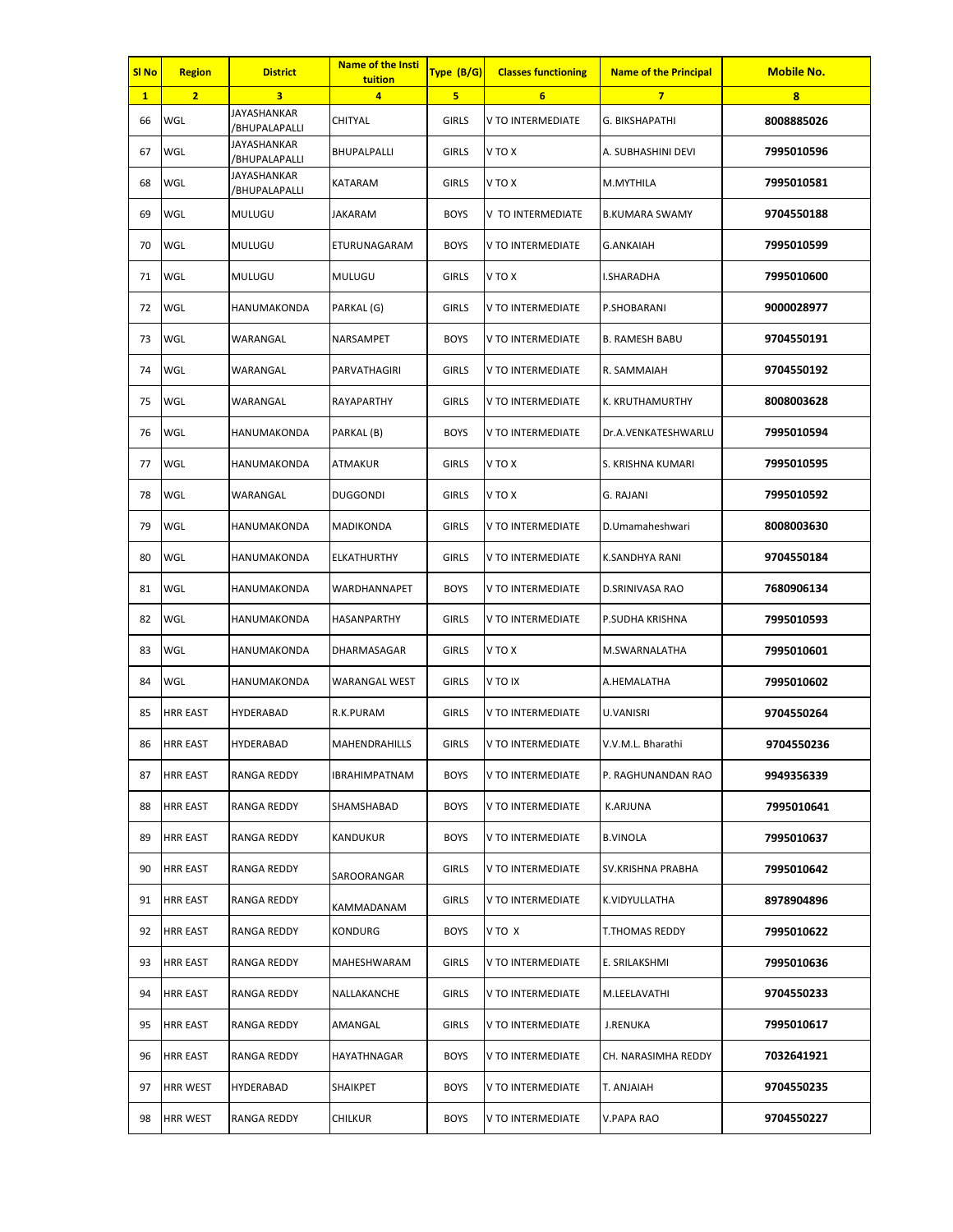| <b>SI No</b> | <b>Region</b>   | <b>District</b>              | Name of the Insti<br>tuition | Type (B/G)   | <b>Classes functioning</b> | <b>Name of the Principal</b> | <b>Mobile No.</b> |
|--------------|-----------------|------------------------------|------------------------------|--------------|----------------------------|------------------------------|-------------------|
| $\mathbf{1}$ | $\overline{2}$  | 3                            | 4                            | 5            | $6\phantom{1}$             | $\overline{7}$               | 8                 |
| 66           | WGL             | JAYASHANKAR<br>/BHUPALAPALLI | CHITYAL                      | <b>GIRLS</b> | V TO INTERMEDIATE          | G. BIKSHAPATHI               | 8008885026        |
| 67           | WGL             | JAYASHANKAR<br>/BHUPALAPALLI | BHUPALPALLI                  | <b>GIRLS</b> | V TO X                     | A. SUBHASHINI DEVI           | 7995010596        |
| 68           | WGL             | JAYASHANKAR<br>/BHUPALAPALLI | KATARAM                      | <b>GIRLS</b> | V TO X                     | M.MYTHILA                    | 7995010581        |
| 69           | WGL             | MULUGU                       | <b>JAKARAM</b>               | <b>BOYS</b>  | V TO INTERMEDIATE          | <b>B.KUMARA SWAMY</b>        | 9704550188        |
| 70           | WGL             | <b>MULUGU</b>                | ETURUNAGARAM                 | <b>BOYS</b>  | V TO INTERMEDIATE          | G.ANKAIAH                    | 7995010599        |
| 71           | WGL             | <b>MULUGU</b>                | <b>MULUGU</b>                | <b>GIRLS</b> | V TO X                     | I.SHARADHA                   | 7995010600        |
| 72           | WGL             | HANUMAKONDA                  | PARKAL (G)                   | <b>GIRLS</b> | V TO INTERMEDIATE          | P.SHOBARANI                  | 9000028977        |
| 73           | WGL             | WARANGAL                     | NARSAMPET                    | <b>BOYS</b>  | V TO INTERMEDIATE          | B. RAMESH BABU               | 9704550191        |
| 74           | WGL             | WARANGAL                     | PARVATHAGIRI                 | <b>GIRLS</b> | V TO INTERMEDIATE          | R. SAMMAIAH                  | 9704550192        |
| 75           | WGL             | WARANGAL                     | RAYAPARTHY                   | <b>GIRLS</b> | V TO INTERMEDIATE          | K. KRUTHAMURTHY              | 8008003628        |
| 76           | WGL             | HANUMAKONDA                  | PARKAL (B)                   | <b>BOYS</b>  | V TO INTERMEDIATE          | Dr.A.VENKATESHWARLU          | 7995010594        |
| 77           | WGL             | HANUMAKONDA                  | ATMAKUR                      | <b>GIRLS</b> | V TO X                     | S. KRISHNA KUMARI            | 7995010595        |
| 78           | WGL             | WARANGAL                     | <b>DUGGONDI</b>              | <b>GIRLS</b> | V TO X                     | G. RAJANI                    | 7995010592        |
| 79           | WGL             | HANUMAKONDA                  | MADIKONDA                    | <b>GIRLS</b> | V TO INTERMEDIATE          | D.Umamaheshwari              | 8008003630        |
| 80           | WGL             | HANUMAKONDA                  | ELKATHURTHY                  | <b>GIRLS</b> | V TO INTERMEDIATE          | K.SANDHYA RANI               | 9704550184        |
| 81           | WGL             | HANUMAKONDA                  | WARDHANNAPET                 | <b>BOYS</b>  | V TO INTERMEDIATE          | D.SRINIVASA RAO              | 7680906134        |
| 82           | WGL             | HANUMAKONDA                  | HASANPARTHY                  | <b>GIRLS</b> | V TO INTERMEDIATE          | P.SUDHA KRISHNA              | 7995010593        |
| 83           | WGL             | HANUMAKONDA                  | DHARMASAGAR                  | <b>GIRLS</b> | V TO X                     | M.SWARNALATHA                | 7995010601        |
| 84           | WGL             | HANUMAKONDA                  | <b>WARANGAL WEST</b>         | <b>GIRLS</b> | V TO IX                    | A.HEMALATHA                  | 7995010602        |
| 85           | <b>HRR EAST</b> | <b>HYDERABAD</b>             | R.K.PURAM                    | <b>GIRLS</b> | V TO INTERMEDIATE          | <b>U.VANISRI</b>             | 9704550264        |
| 86           | <b>HRR EAST</b> | <b>HYDERABAD</b>             | MAHENDRAHILLS                | <b>GIRLS</b> | V TO INTERMEDIATE          | V.V.M.L. Bharathi            | 9704550236        |
| 87           | <b>HRR EAST</b> | RANGA REDDY                  | <b>IBRAHIMPATNAM</b>         | <b>BOYS</b>  | V TO INTERMEDIATE          | P. RAGHUNANDAN RAO           | 9949356339        |
| 88           | <b>HRR EAST</b> | RANGA REDDY                  | SHAMSHABAD                   | <b>BOYS</b>  | V TO INTERMEDIATE          | <b>K.ARJUNA</b>              | 7995010641        |
| 89           | <b>HRR EAST</b> | RANGA REDDY                  | KANDUKUR                     | <b>BOYS</b>  | V TO INTERMEDIATE          | <b>B.VINOLA</b>              | 7995010637        |
| 90           | <b>HRR EAST</b> | RANGA REDDY                  | SAROORANGAR                  | <b>GIRLS</b> | V TO INTERMEDIATE          | SV.KRISHNA PRABHA            | 7995010642        |
| 91           | <b>HRR EAST</b> | RANGA REDDY                  | KAMMADANAM                   | <b>GIRLS</b> | V TO INTERMEDIATE          | K.VIDYULLATHA                | 8978904896        |
| 92           | <b>HRR EAST</b> | RANGA REDDY                  | <b>KONDURG</b>               | <b>BOYS</b>  | V TO X                     | T.THOMAS REDDY               | 7995010622        |
| 93           | <b>HRR EAST</b> | RANGA REDDY                  | MAHESHWARAM                  | <b>GIRLS</b> | V TO INTERMEDIATE          | E. SRILAKSHMI                | 7995010636        |
| 94           | <b>HRR EAST</b> | RANGA REDDY                  | NALLAKANCHE                  | <b>GIRLS</b> | V TO INTERMEDIATE          | M.LEELAVATHI                 | 9704550233        |
| 95           | <b>HRR EAST</b> | RANGA REDDY                  | AMANGAL                      | <b>GIRLS</b> | V TO INTERMEDIATE          | <b>J.RENUKA</b>              | 7995010617        |
| 96           | <b>HRR EAST</b> | RANGA REDDY                  | HAYATHNAGAR                  | <b>BOYS</b>  | V TO INTERMEDIATE          | CH. NARASIMHA REDDY          | 7032641921        |
| 97           | <b>HRR WEST</b> | HYDERABAD                    | <b>SHAIKPET</b>              | <b>BOYS</b>  | V TO INTERMEDIATE          | T. ANJAIAH                   | 9704550235        |
| 98           | <b>HRR WEST</b> | RANGA REDDY                  | <b>CHILKUR</b>               | <b>BOYS</b>  | V TO INTERMEDIATE          | V.PAPA RAO                   | 9704550227        |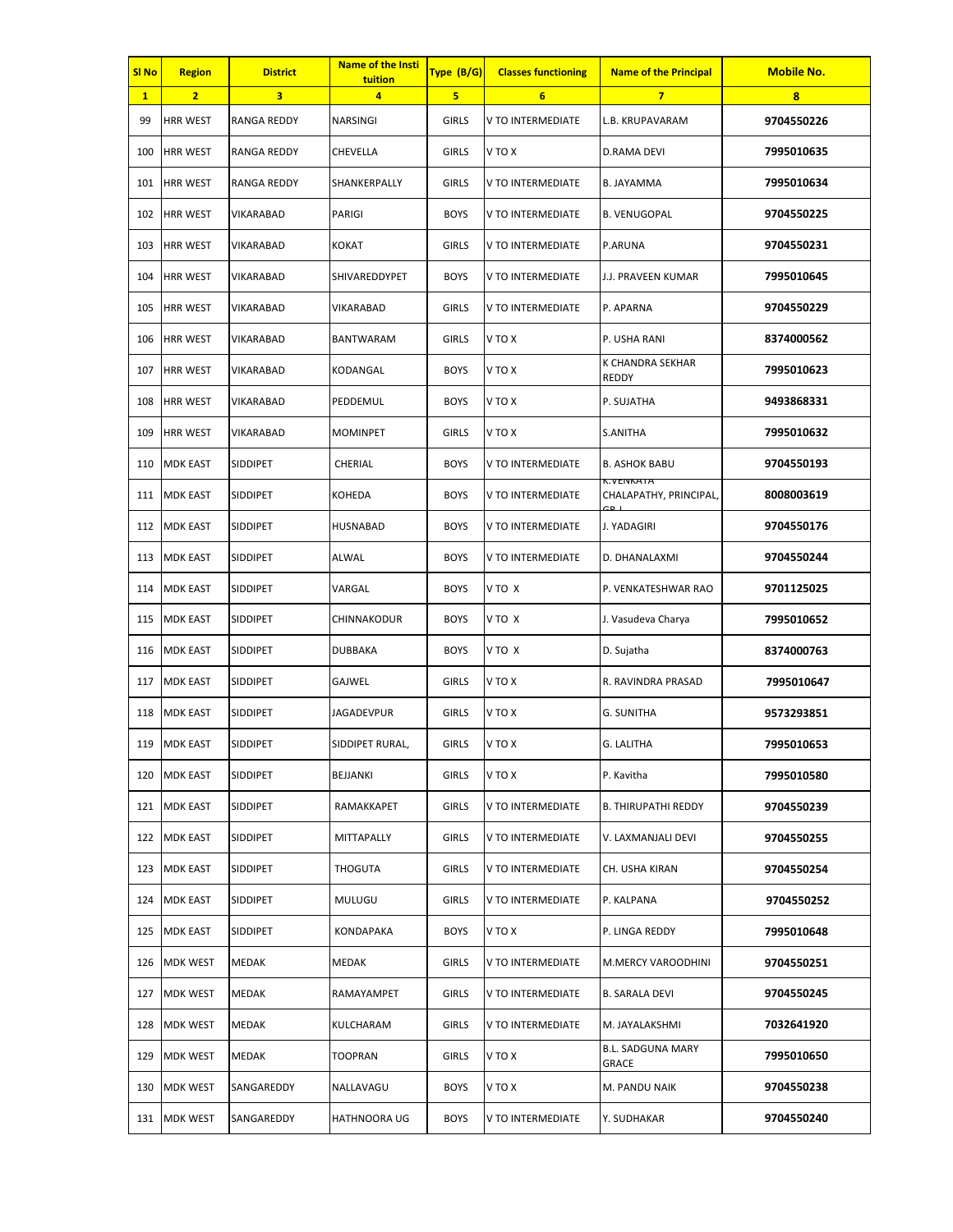| SI <sub>No</sub> | <b>Region</b>   | <b>District</b>    | <b>Name of the Insti</b><br>tuition | Type (B/G)   | <b>Classes functioning</b> | <b>Name of the Principal</b>         | <b>Mobile No.</b> |
|------------------|-----------------|--------------------|-------------------------------------|--------------|----------------------------|--------------------------------------|-------------------|
| $\mathbf{1}$     | $\overline{2}$  | 3                  | 4                                   | 5            | 6                          | $\overline{7}$                       | 8                 |
| 99               | <b>HRR WEST</b> | RANGA REDDY        | NARSINGI                            | <b>GIRLS</b> | V TO INTERMEDIATE          | L.B. KRUPAVARAM                      | 9704550226        |
| 100              | <b>HRR WEST</b> | <b>RANGA REDDY</b> | CHEVELLA                            | <b>GIRLS</b> | V TO X                     | D.RAMA DEVI                          | 7995010635        |
| 101              | <b>HRR WEST</b> | <b>RANGA REDDY</b> | SHANKERPALLY                        | <b>GIRLS</b> | V TO INTERMEDIATE          | <b>B. JAYAMMA</b>                    | 7995010634        |
| 102              | <b>HRR WEST</b> | VIKARABAD          | PARIGI                              | <b>BOYS</b>  | V TO INTERMEDIATE          | <b>B. VENUGOPAL</b>                  | 9704550225        |
| 103              | <b>HRR WEST</b> | <b>VIKARABAD</b>   | <b>KOKAT</b>                        | <b>GIRLS</b> | V TO INTERMEDIATE          | P.ARUNA                              | 9704550231        |
| 104              | <b>HRR WEST</b> | VIKARABAD          | SHIVAREDDYPET                       | <b>BOYS</b>  | V TO INTERMEDIATE          | J.J. PRAVEEN KUMAR                   | 7995010645        |
| 105              | <b>HRR WEST</b> | VIKARABAD          | VIKARABAD                           | <b>GIRLS</b> | V TO INTERMEDIATE          | P. APARNA                            | 9704550229        |
| 106              | <b>HRR WEST</b> | VIKARABAD          | BANTWARAM                           | <b>GIRLS</b> | V TO X                     | P. USHA RANI                         | 8374000562        |
| 107              | <b>HRR WEST</b> | VIKARABAD          | KODANGAL                            | <b>BOYS</b>  | <b>V TO X</b>              | K CHANDRA SEKHAR<br>REDDY            | 7995010623        |
| 108              | <b>HRR WEST</b> | <b>VIKARABAD</b>   | PEDDEMUL                            | <b>BOYS</b>  | V TO X                     | P. SUJATHA                           | 9493868331        |
| 109              | <b>HRR WEST</b> | VIKARABAD          | <b>MOMINPET</b>                     | <b>GIRLS</b> | V TO X                     | S.ANITHA                             | 7995010632        |
| 110              | <b>MDK EAST</b> | SIDDIPET           | CHERIAL                             | <b>BOYS</b>  | V TO INTERMEDIATE          | <b>B. ASHOK BABU</b>                 | 9704550193        |
| 111              | <b>MDK EAST</b> | <b>SIDDIPET</b>    | KOHEDA                              | <b>BOYS</b>  | V TO INTERMEDIATE          | K.VEIVKATA<br>CHALAPATHY, PRINCIPAL, | 8008003619        |
| 112              | <b>MDK EAST</b> | <b>SIDDIPET</b>    | HUSNABAD                            | <b>BOYS</b>  | V TO INTERMEDIATE          | J. YADAGIRI                          | 9704550176        |
| 113              | <b>MDK EAST</b> | <b>SIDDIPET</b>    | ALWAL                               | <b>BOYS</b>  | V TO INTERMEDIATE          | D. DHANALAXMI                        | 9704550244        |
| 114              | <b>MDK EAST</b> | <b>SIDDIPET</b>    | VARGAL                              | <b>BOYS</b>  | V TO X                     | P. VENKATESHWAR RAO                  | 9701125025        |
| 115              | <b>MDK EAST</b> | <b>SIDDIPET</b>    | CHINNAKODUR                         | <b>BOYS</b>  | V TO X                     | J. Vasudeva Charya                   | 7995010652        |
| 116              | <b>MDK EAST</b> | <b>SIDDIPET</b>    | <b>DUBBAKA</b>                      | <b>BOYS</b>  | V TO X                     | D. Sujatha                           | 8374000763        |
| 117              | <b>MDK EAST</b> | <b>SIDDIPET</b>    | GAJWEL                              | <b>GIRLS</b> | V TO X                     | R. RAVINDRA PRASAD                   | 7995010647        |
| 118              | <b>MDK EAST</b> | SIDDIPET           | <b>JAGADEVPUR</b>                   | <b>GIRLS</b> | V TO X                     | <b>G. SUNITHA</b>                    | 9573293851        |
|                  | 119 MDK EAST    | SIDDIPET           | SIDDIPET RURAL,                     | GIRLS        | V TO X                     | G. LALITHA                           | 7995010653        |
|                  | 120 MDK EAST    | <b>SIDDIPET</b>    | BEJJANKI                            | <b>GIRLS</b> | V TO X                     | P. Kavitha                           | 7995010580        |
| 121              | <b>MDK EAST</b> | <b>SIDDIPET</b>    | RAMAKKAPET                          | <b>GIRLS</b> | V TO INTERMEDIATE          | <b>B. THIRUPATHI REDDY</b>           | 9704550239        |
|                  | 122 MDK EAST    | SIDDIPET           | MITTAPALLY                          | <b>GIRLS</b> | V TO INTERMEDIATE          | V. LAXMANJALI DEVI                   | 9704550255        |
|                  | 123 MDK EAST    | SIDDIPET           | THOGUTA                             | <b>GIRLS</b> | V TO INTERMEDIATE          | CH. USHA KIRAN                       | 9704550254        |
| 124              | <b>MDK EAST</b> | <b>SIDDIPET</b>    | MULUGU                              | <b>GIRLS</b> | V TO INTERMEDIATE          | P. KALPANA                           | 9704550252        |
|                  | 125 MDK EAST    | SIDDIPET           | KONDAPAKA                           | <b>BOYS</b>  | V TO X                     | P. LINGA REDDY                       | 7995010648        |
| 126              | <b>MDK WEST</b> | MEDAK              | MEDAK                               | <b>GIRLS</b> | V TO INTERMEDIATE          | M.MERCY VAROODHINI                   | 9704550251        |
| 127              | <b>MDK WEST</b> | <b>MEDAK</b>       | RAMAYAMPET                          | <b>GIRLS</b> | V TO INTERMEDIATE          | <b>B. SARALA DEVI</b>                | 9704550245        |
| 128              | <b>MDK WEST</b> | MEDAK              | KULCHARAM                           | <b>GIRLS</b> | V TO INTERMEDIATE          | M. JAYALAKSHMI                       | 7032641920        |
| 129              | <b>MDK WEST</b> | MEDAK              | TOOPRAN                             | <b>GIRLS</b> | V TO X                     | <b>B.L. SADGUNA MARY</b><br>GRACE    | 7995010650        |
| 130              | <b>MDK WEST</b> | SANGAREDDY         | NALLAVAGU                           | <b>BOYS</b>  | V TO X                     | M. PANDU NAIK                        | 9704550238        |
|                  | 131 MDK WEST    | SANGAREDDY         | <b>HATHNOORA UG</b>                 | <b>BOYS</b>  | V TO INTERMEDIATE          | Y. SUDHAKAR                          | 9704550240        |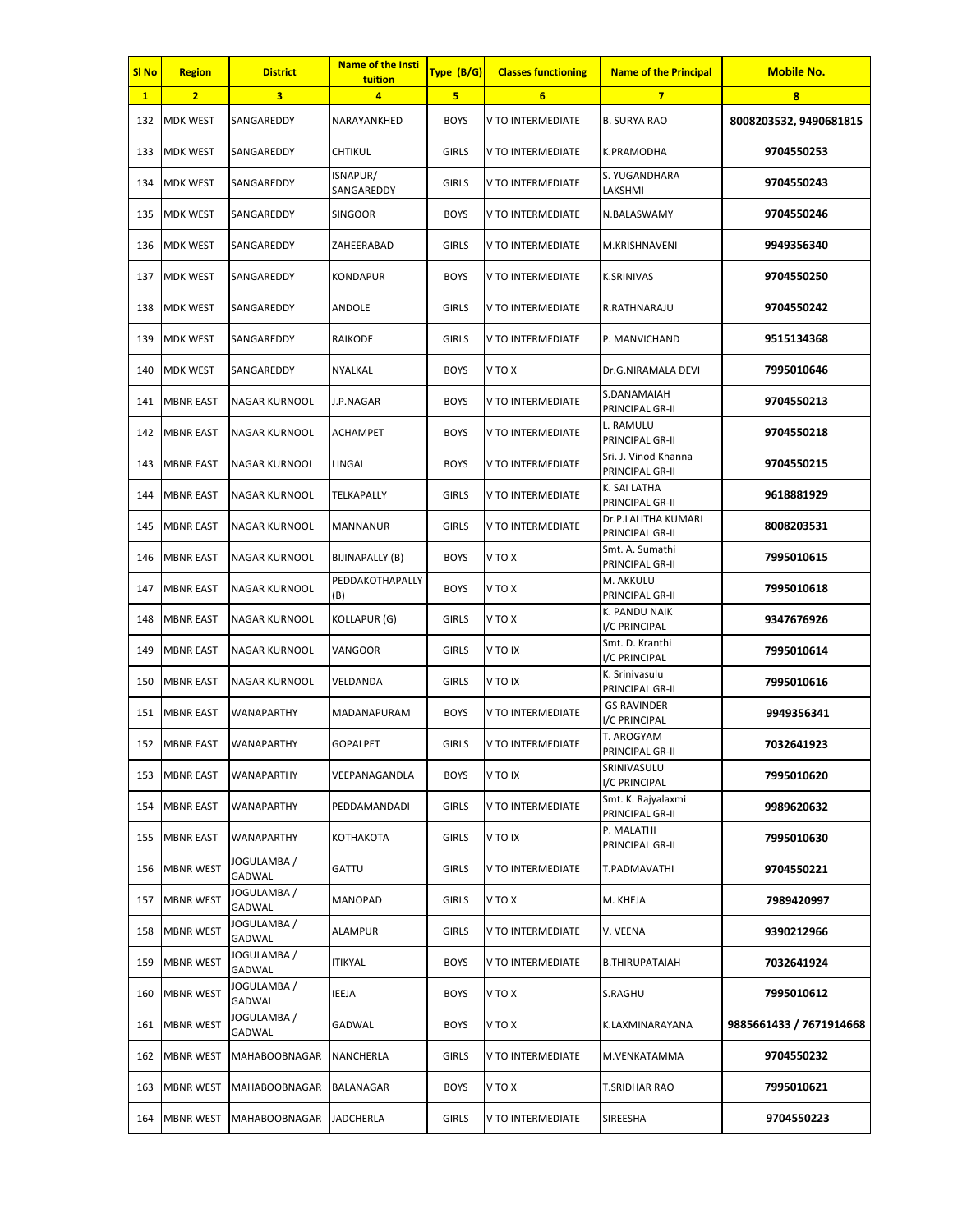| SI <sub>No</sub> | <b>Region</b>    | <b>District</b>       | <b>Name of the Insti</b><br>tuition | Type (B/G)   | <b>Classes functioning</b> | <b>Name of the Principal</b>            | <b>Mobile No.</b>       |
|------------------|------------------|-----------------------|-------------------------------------|--------------|----------------------------|-----------------------------------------|-------------------------|
| $\mathbf{1}$     | $\overline{2}$   | 3                     | 4                                   | 5            | 6                          | $\overline{7}$                          | 8                       |
| 132              | <b>MDK WEST</b>  | SANGAREDDY            | NARAYANKHED                         | <b>BOYS</b>  | V TO INTERMEDIATE          | <b>B. SURYA RAO</b>                     | 8008203532, 9490681815  |
| 133              | <b>MDK WEST</b>  | SANGAREDDY            | CHTIKUL                             | <b>GIRLS</b> | V TO INTERMEDIATE          | K.PRAMODHA                              | 9704550253              |
| 134              | <b>MDK WEST</b>  | SANGAREDDY            | ISNAPUR/<br>SANGAREDDY              | <b>GIRLS</b> | V TO INTERMEDIATE          | S. YUGANDHARA<br>LAKSHMI                | 9704550243              |
| 135              | <b>MDK WEST</b>  | SANGAREDDY            | <b>SINGOOR</b>                      | <b>BOYS</b>  | V TO INTERMEDIATE          | N.BALASWAMY                             | 9704550246              |
| 136              | <b>MDK WEST</b>  | SANGAREDDY            | ZAHEERABAD                          | <b>GIRLS</b> | V TO INTERMEDIATE          | M.KRISHNAVENI                           | 9949356340              |
| 137              | <b>MDK WEST</b>  | SANGAREDDY            | <b>KONDAPUR</b>                     | <b>BOYS</b>  | V TO INTERMEDIATE          | <b>K.SRINIVAS</b>                       | 9704550250              |
| 138              | <b>MDK WEST</b>  | SANGAREDDY            | ANDOLE                              | <b>GIRLS</b> | V TO INTERMEDIATE          | R.RATHNARAJU                            | 9704550242              |
| 139              | <b>MDK WEST</b>  | SANGAREDDY            | RAIKODE                             | <b>GIRLS</b> | V TO INTERMEDIATE          | P. MANVICHAND                           | 9515134368              |
| 140              | <b>MDK WEST</b>  | SANGAREDDY            | NYALKAL                             | <b>BOYS</b>  | V TO X                     | Dr.G.NIRAMALA DEVI                      | 7995010646              |
| 141              | <b>MBNR EAST</b> | <b>NAGAR KURNOOL</b>  | J.P.NAGAR                           | <b>BOYS</b>  | V TO INTERMEDIATE          | S.DANAMAIAH<br>PRINCIPAL GR-II          | 9704550213              |
| 142              | <b>MBNR EAST</b> | NAGAR KURNOOL         | ACHAMPET                            | <b>BOYS</b>  | V TO INTERMEDIATE          | L. RAMULU<br>PRINCIPAL GR-II            | 9704550218              |
| 143              | <b>MBNR EAST</b> | NAGAR KURNOOL         | LINGAL                              | <b>BOYS</b>  | V TO INTERMEDIATE          | Sri. J. Vinod Khanna<br>PRINCIPAL GR-II | 9704550215              |
| 144              | <b>MBNR EAST</b> | NAGAR KURNOOL         | TELKAPALLY                          | <b>GIRLS</b> | V TO INTERMEDIATE          | K. SAI LATHA<br>PRINCIPAL GR-II         | 9618881929              |
| 145              | <b>MBNR EAST</b> | NAGAR KURNOOL         | MANNANUR                            | <b>GIRLS</b> | V TO INTERMEDIATE          | Dr.P.LALITHA KUMARI<br>PRINCIPAL GR-II  | 8008203531              |
| 146              | <b>MBNR EAST</b> | NAGAR KURNOOL         | BIJINAPALLY (B)                     | <b>BOYS</b>  | V TO X                     | Smt. A. Sumathi<br>PRINCIPAL GR-II      | 7995010615              |
| 147              | <b>MBNR EAST</b> | NAGAR KURNOOL         | PEDDAKOTHAPALLY<br>(B)              | <b>BOYS</b>  | V TO X                     | M. AKKULU<br>PRINCIPAL GR-II            | 7995010618              |
| 148              | <b>MBNR EAST</b> | NAGAR KURNOOL         | KOLLAPUR (G)                        | <b>GIRLS</b> | V TO X                     | K. PANDU NAIK<br>I/C PRINCIPAL          | 9347676926              |
| 149              | <b>MBNR EAST</b> | NAGAR KURNOOL         | VANGOOR                             | <b>GIRLS</b> | V TO IX                    | Smt. D. Kranthi<br>I/C PRINCIPAL        | 7995010614              |
| 150              | <b>MBNR EAST</b> | NAGAR KURNOOL         | VELDANDA                            | <b>GIRLS</b> | <b>VTOIX</b>               | K. Srinivasulu<br>PRINCIPAL GR-II       | 7995010616              |
| 151              | <b>MBNR EAST</b> | WANAPARTHY            | MADANAPURAM                         | <b>BOYS</b>  | V TO INTERMEDIATE          | <b>GS RAVINDER</b><br>I/C PRINCIPAL     | 9949356341              |
|                  | 152 MBNR EAST    | <b>WANAPARTHY</b>     | GOPALPET                            | <b>GIRLS</b> | V TO INTERMEDIATE          | T. AROGYAM<br>PRINCIPAL GR-II           | 7032641923              |
| 153              | <b>MBNR EAST</b> | WANAPARTHY            | VEEPANAGANDLA                       | <b>BOYS</b>  | <b>VTOIX</b>               | SRINIVASULU<br>I/C PRINCIPAL            | 7995010620              |
| 154              | <b>MBNR EAST</b> | WANAPARTHY            | PEDDAMANDADI                        | <b>GIRLS</b> | V TO INTERMEDIATE          | Smt. K. Rajyalaxmi<br>PRINCIPAL GR-II   | 9989620632              |
| 155              | <b>MBNR EAST</b> | <b>WANAPARTHY</b>     | КОТНАКОТА                           | <b>GIRLS</b> | V TO IX                    | P. MALATHI<br>PRINCIPAL GR-II           | 7995010630              |
| 156              | <b>MBNR WEST</b> | JOGULAMBA /<br>GADWAL | GATTU                               | <b>GIRLS</b> | V TO INTERMEDIATE          | T.PADMAVATHI                            | 9704550221              |
| 157              | <b>MBNR WEST</b> | JOGULAMBA /<br>GADWAL | MANOPAD                             | <b>GIRLS</b> | V TO X                     | M. KHEJA                                | 7989420997              |
| 158              | <b>MBNR WEST</b> | JOGULAMBA /<br>GADWAL | <b>ALAMPUR</b>                      | <b>GIRLS</b> | V TO INTERMEDIATE          | V. VEENA                                | 9390212966              |
| 159              | <b>MBNR WEST</b> | JOGULAMBA /<br>GADWAL | ITIKYAL                             | <b>BOYS</b>  | V TO INTERMEDIATE          | B.THIRUPATAIAH                          | 7032641924              |
| 160              | <b>MBNR WEST</b> | JOGULAMBA /<br>GADWAL | IEEJA                               | <b>BOYS</b>  | V TO X                     | S.RAGHU                                 | 7995010612              |
| 161              | <b>MBNR WEST</b> | JOGULAMBA /<br>GADWAL | GADWAL                              | <b>BOYS</b>  | V TO X                     | K.LAXMINARAYANA                         | 9885661433 / 7671914668 |
| 162              | <b>MBNR WEST</b> | <b>MAHABOOBNAGAR</b>  | NANCHERLA                           | <b>GIRLS</b> | V TO INTERMEDIATE          | M.VENKATAMMA                            | 9704550232              |
| 163              | <b>MBNR WEST</b> | MAHABOOBNAGAR         | BALANAGAR                           | <b>BOYS</b>  | V TO X                     | T.SRIDHAR RAO                           | 7995010621              |
| 164              | <b>MBNR WEST</b> | <b>MAHABOOBNAGAR</b>  | <b>JADCHERLA</b>                    | <b>GIRLS</b> | V TO INTERMEDIATE          | SIREESHA                                | 9704550223              |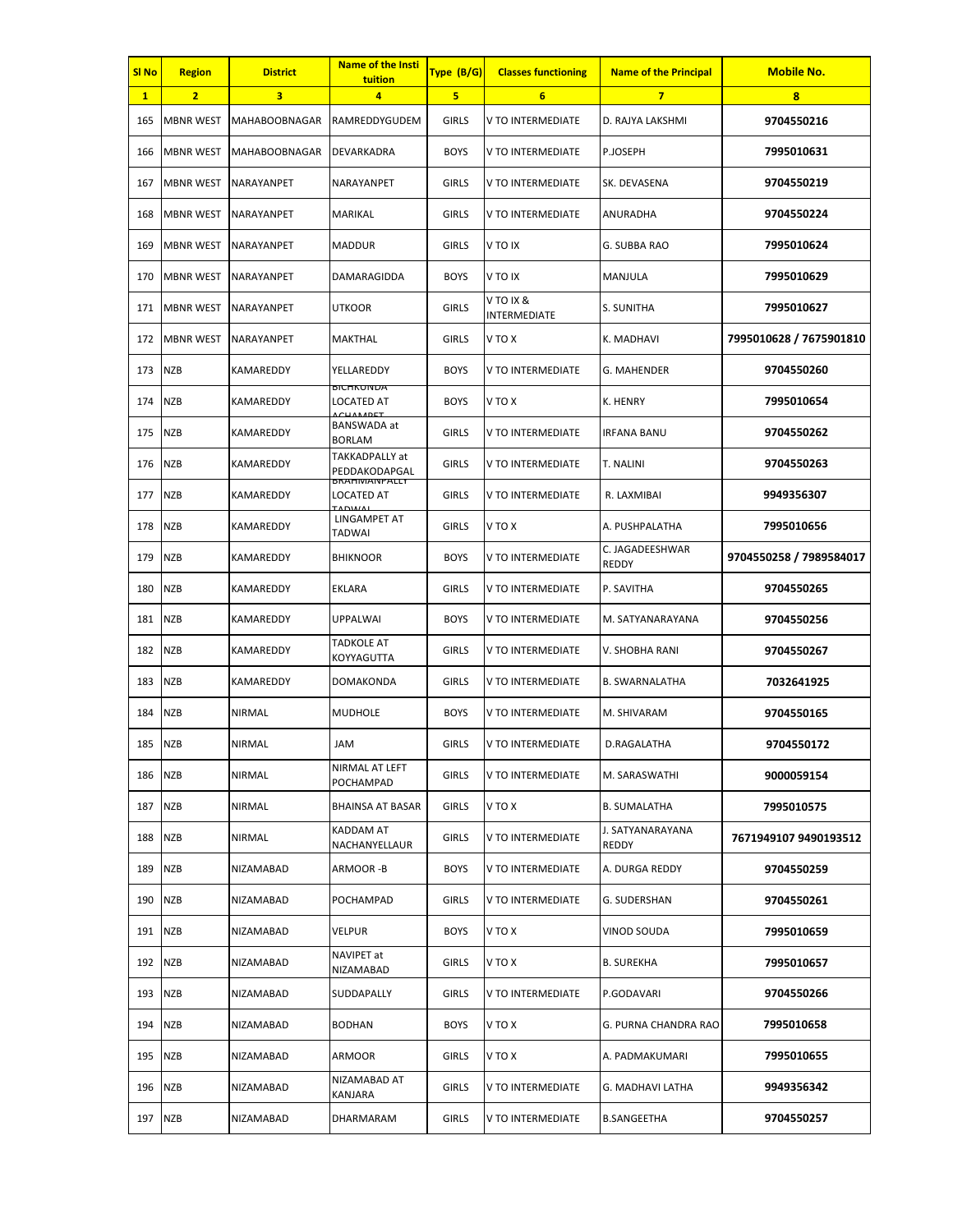| SI No        | <b>Region</b>    | <b>District</b>      | <b>Name of the Insti</b><br>tuition                    | Type (B/G)   | <b>Classes functioning</b> | <b>Name of the Principal</b>     | <b>Mobile No.</b>       |
|--------------|------------------|----------------------|--------------------------------------------------------|--------------|----------------------------|----------------------------------|-------------------------|
| $\mathbf{1}$ | $\overline{2}$   | 3                    | 4                                                      | 5            | $6\phantom{1}$             | $\overline{7}$                   | 8                       |
| 165          | <b>MBNR WEST</b> | <b>MAHABOOBNAGAR</b> | RAMREDDYGUDEM                                          | <b>GIRLS</b> | V TO INTERMEDIATE          | D. RAJYA LAKSHMI                 | 9704550216              |
| 166          | <b>MBNR WEST</b> | <b>MAHABOOBNAGAR</b> | DEVARKADRA                                             | <b>BOYS</b>  | V TO INTERMEDIATE          | P.JOSEPH                         | 7995010631              |
| 167          | <b>MBNR WEST</b> | NARAYANPET           | NARAYANPET                                             | <b>GIRLS</b> | V TO INTERMEDIATE          | SK. DEVASENA                     | 9704550219              |
| 168          | <b>MBNR WEST</b> | <b>NARAYANPET</b>    | <b>MARIKAL</b>                                         | <b>GIRLS</b> | V TO INTERMEDIATE          | ANURADHA                         | 9704550224              |
| 169          | <b>MBNR WEST</b> | NARAYANPET           | <b>MADDUR</b>                                          | <b>GIRLS</b> | V TO IX                    | G. SUBBA RAO                     | 7995010624              |
| 170          | <b>MBNR WEST</b> | NARAYANPET           | DAMARAGIDDA                                            | <b>BOYS</b>  | V TO IX                    | MANJULA                          | 7995010629              |
| 171          | <b>MBNR WEST</b> | NARAYANPET           | <b>UTKOOR</b>                                          | <b>GIRLS</b> | V TO IX &<br>INTERMEDIATE  | S. SUNITHA                       | 7995010627              |
| 172          | <b>MBNR WEST</b> | NARAYANPET           | MAKTHAL                                                | <b>GIRLS</b> | V TO X                     | K. MADHAVI                       | 7995010628 / 7675901810 |
| 173          | <b>NZB</b>       | KAMAREDDY            | YELLAREDDY                                             | <b>BOYS</b>  | V TO INTERMEDIATE          | G. MAHENDER                      | 9704550260              |
| 174          | <b>NZB</b>       | KAMAREDDY            | <b>DICHNUIVDA</b><br>LOCATED AT<br><b>CUANADET</b>     | <b>BOYS</b>  | V TO X                     | K. HENRY                         | 7995010654              |
| 175          | <b>NZB</b>       | KAMAREDDY            | BANSWADA at<br><b>BORLAM</b>                           | <b>GIRLS</b> | V TO INTERMEDIATE          | IRFANA BANU                      | 9704550262              |
| 176          | <b>NZB</b>       | KAMAREDDY            | TAKKADPALLY at<br>PEDDAKODAPGAL                        | <b>GIRLS</b> | V TO INTERMEDIATE          | T. NALINI                        | 9704550263              |
| 177          | <b>NZB</b>       | KAMAREDDY            | <b>BRAHIVIAINPALLY</b><br>LOCATED AT<br><b>LADIMAL</b> | <b>GIRLS</b> | V TO INTERMEDIATE          | R. LAXMIBAI                      | 9949356307              |
| 178          | <b>NZB</b>       | KAMAREDDY            | LINGAMPET AT<br>TADWAI                                 | GIRLS        | V TO X                     | A. PUSHPALATHA                   | 7995010656              |
| 179          | <b>NZB</b>       | KAMAREDDY            | <b>BHIKNOOR</b>                                        | <b>BOYS</b>  | V TO INTERMEDIATE          | C. JAGADEESHWAR<br><b>REDDY</b>  | 9704550258 / 7989584017 |
| 180          | <b>NZB</b>       | KAMAREDDY            | EKLARA                                                 | <b>GIRLS</b> | V TO INTERMEDIATE          | P. SAVITHA                       | 9704550265              |
| 181          | <b>NZB</b>       | KAMAREDDY            | <b>UPPALWAI</b>                                        | <b>BOYS</b>  | V TO INTERMEDIATE          | M. SATYANARAYANA                 | 9704550256              |
| 182          | <b>NZB</b>       | KAMAREDDY            | <b>TADKOLE AT</b><br>KOYYAGUTTA                        | <b>GIRLS</b> | V TO INTERMEDIATE          | V. SHOBHA RANI                   | 9704550267              |
| 183          | NZB              | KAMAREDDY            | <b>DOMAKONDA</b>                                       | GIRLS        | V TO INTERMEDIATE          | <b>B. SWARNALATHA</b>            | 7032641925              |
| 184          | <b>NZB</b>       | NIRMAL               | <b>MUDHOLE</b>                                         | <b>BOYS</b>  | V TO INTERMEDIATE          | M. SHIVARAM                      | 9704550165              |
| 185          | <b>NZB</b>       | <b>NIRMAL</b>        | JAM                                                    | <b>GIRLS</b> | V TO INTERMEDIATE          | D.RAGALATHA                      | 9704550172              |
| 186          | <b>NZB</b>       | NIRMAL               | NIRMAL AT LEFT<br>POCHAMPAD                            | GIRLS        | V TO INTERMEDIATE          | M. SARASWATHI                    | 9000059154              |
| 187          | <b>NZB</b>       | NIRMAL               | <b>BHAINSA AT BASAR</b>                                | <b>GIRLS</b> | V TO X                     | <b>B. SUMALATHA</b>              | 7995010575              |
| 188          | <b>NZB</b>       | <b>NIRMAL</b>        | KADDAM AT<br>NACHANYELLAUR                             | <b>GIRLS</b> | V TO INTERMEDIATE          | J. SATYANARAYANA<br><b>REDDY</b> | 7671949107 9490193512   |
| 189          | <b>NZB</b>       | NIZAMABAD            | ARMOOR -B                                              | <b>BOYS</b>  | V TO INTERMEDIATE          | A. DURGA REDDY                   | 9704550259              |
| 190          | <b>NZB</b>       | NIZAMABAD            | POCHAMPAD                                              | <b>GIRLS</b> | V TO INTERMEDIATE          | G. SUDERSHAN                     | 9704550261              |
| 191          | <b>NZB</b>       | NIZAMABAD            | VELPUR                                                 | <b>BOYS</b>  | V TO X                     | VINOD SOUDA                      | 7995010659              |
| 192          | <b>NZB</b>       | NIZAMABAD            | NAVIPET at<br>NIZAMABAD                                | <b>GIRLS</b> | V TO X                     | <b>B. SUREKHA</b>                | 7995010657              |
| 193          | <b>NZB</b>       | NIZAMABAD            | SUDDAPALLY                                             | <b>GIRLS</b> | V TO INTERMEDIATE          | P.GODAVARI                       | 9704550266              |
| 194          | <b>NZB</b>       | NIZAMABAD            | <b>BODHAN</b>                                          | <b>BOYS</b>  | V TO X                     | G. PURNA CHANDRA RAO             | 7995010658              |
| 195          | <b>NZB</b>       | NIZAMABAD            | ARMOOR                                                 | <b>GIRLS</b> | V TO X                     | A. PADMAKUMARI                   | 7995010655              |
| 196          | <b>NZB</b>       | NIZAMABAD            | NIZAMABAD AT<br>KANJARA                                | <b>GIRLS</b> | V TO INTERMEDIATE          | G. MADHAVI LATHA                 | 9949356342              |
| 197 NZB      |                  | NIZAMABAD            | DHARMARAM                                              | GIRLS        | V TO INTERMEDIATE          | <b>B.SANGEETHA</b>               | 9704550257              |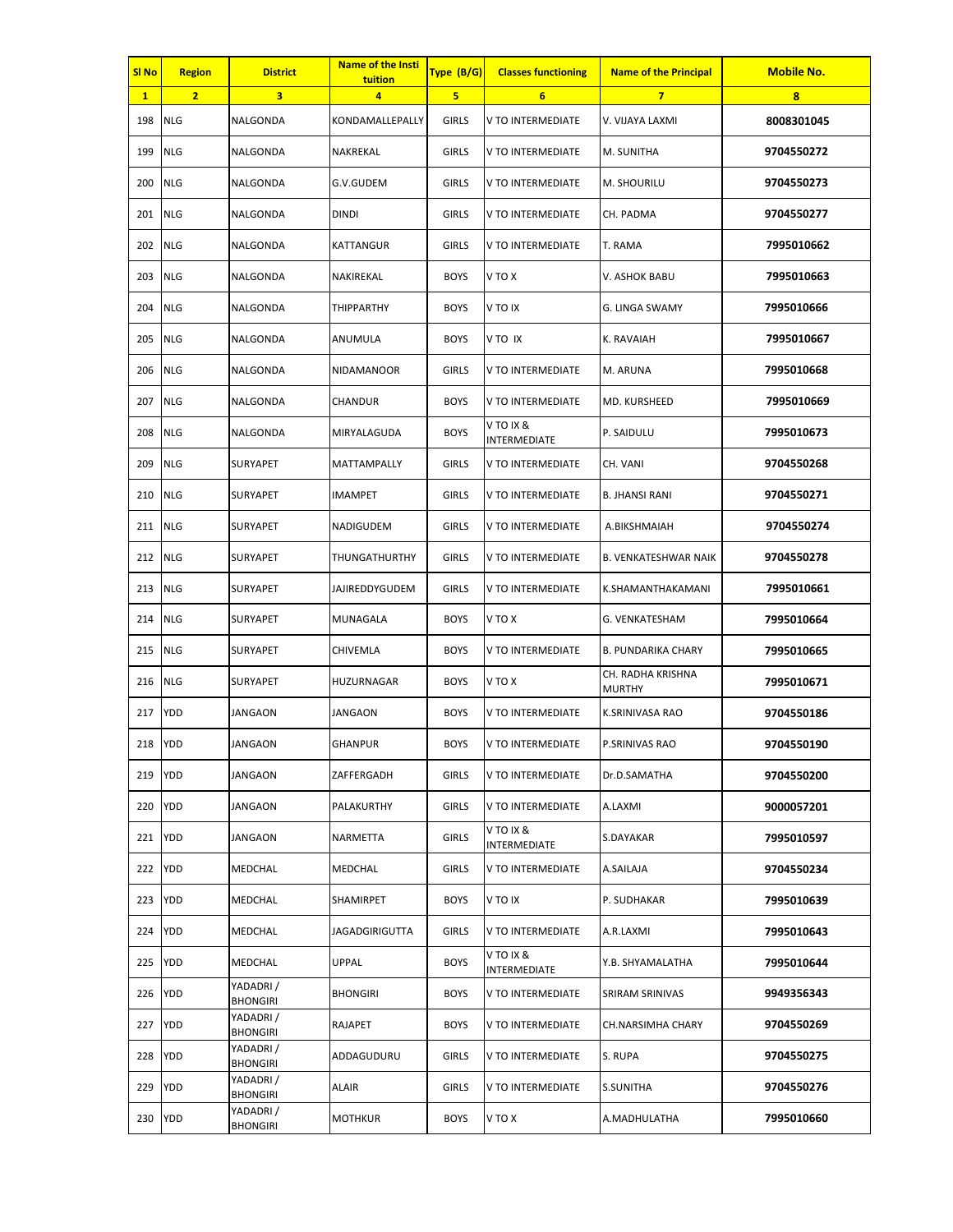| SI <sub>No</sub> | <b>Region</b>  | <b>District</b>             | <b>Name of the Insti</b><br>tuition | Type (B/G)   | <b>Classes functioning</b> | <b>Name of the Principal</b>       | <b>Mobile No.</b> |
|------------------|----------------|-----------------------------|-------------------------------------|--------------|----------------------------|------------------------------------|-------------------|
| $\mathbf{1}$     | $\overline{2}$ | 3                           | $\overline{a}$                      | 5            | $6\overline{6}$            | $\overline{7}$                     | 8                 |
| 198              | <b>NLG</b>     | NALGONDA                    | KONDAMALLEPALLY                     | <b>GIRLS</b> | V TO INTERMEDIATE          | V. VIJAYA LAXMI                    | 8008301045        |
| 199              | <b>NLG</b>     | NALGONDA                    | NAKREKAL                            | <b>GIRLS</b> | V TO INTERMEDIATE          | M. SUNITHA                         | 9704550272        |
| 200              | <b>NLG</b>     | NALGONDA                    | G.V.GUDEM                           | <b>GIRLS</b> | V TO INTERMEDIATE          | M. SHOURILU                        | 9704550273        |
| 201              | <b>NLG</b>     | NALGONDA                    | <b>DINDI</b>                        | <b>GIRLS</b> | V TO INTERMEDIATE          | CH. PADMA                          | 9704550277        |
| 202              | <b>NLG</b>     | NALGONDA                    | KATTANGUR                           | <b>GIRLS</b> | V TO INTERMEDIATE          | T. RAMA                            | 7995010662        |
| 203              | <b>NLG</b>     | NALGONDA                    | NAKIREKAL                           | <b>BOYS</b>  | V TO X                     | V. ASHOK BABU                      | 7995010663        |
| 204              | <b>NLG</b>     | NALGONDA                    | THIPPARTHY                          | <b>BOYS</b>  | <b>VTO IX</b>              | G. LINGA SWAMY                     | 7995010666        |
| 205              | <b>NLG</b>     | NALGONDA                    | ANUMULA                             | <b>BOYS</b>  | V TO IX                    | K. RAVAIAH                         | 7995010667        |
| 206              | <b>NLG</b>     | NALGONDA                    | NIDAMANOOR                          | <b>GIRLS</b> | V TO INTERMEDIATE          | M. ARUNA                           | 7995010668        |
| 207              | <b>NLG</b>     | NALGONDA                    | CHANDUR                             | <b>BOYS</b>  | V TO INTERMEDIATE          | MD. KURSHEED                       | 7995010669        |
| 208              | <b>NLG</b>     | NALGONDA                    | MIRYALAGUDA                         | <b>BOYS</b>  | V TO IX &<br>INTERMEDIATE  | P. SAIDULU                         | 7995010673        |
| 209              | <b>NLG</b>     | SURYAPET                    | MATTAMPALLY                         | <b>GIRLS</b> | V TO INTERMEDIATE          | CH. VANI                           | 9704550268        |
| 210              | <b>NLG</b>     | SURYAPET                    | IMAMPET                             | <b>GIRLS</b> | V TO INTERMEDIATE          | B. JHANSI RANI                     | 9704550271        |
| 211              | <b>NLG</b>     | SURYAPET                    | NADIGUDEM                           | <b>GIRLS</b> | V TO INTERMEDIATE          | A.BIKSHMAIAH                       | 9704550274        |
| 212              | <b>NLG</b>     | <b>SURYAPET</b>             | THUNGATHURTHY                       | <b>GIRLS</b> | V TO INTERMEDIATE          | <b>B. VENKATESHWAR NAIK</b>        | 9704550278        |
| 213              | <b>NLG</b>     | SURYAPET                    | JAJIREDDYGUDEM                      | <b>GIRLS</b> | V TO INTERMEDIATE          | K.SHAMANTHAKAMANI                  | 7995010661        |
| 214              | <b>NLG</b>     | SURYAPET                    | MUNAGALA                            | <b>BOYS</b>  | V TO X                     | G. VENKATESHAM                     | 7995010664        |
| 215              | <b>NLG</b>     | <b>SURYAPET</b>             | CHIVEMLA                            | <b>BOYS</b>  | V TO INTERMEDIATE          | <b>B. PUNDARIKA CHARY</b>          | 7995010665        |
| 216              | <b>NLG</b>     | SURYAPET                    | HUZURNAGAR                          | <b>BOYS</b>  | V TO X                     | CH. RADHA KRISHNA<br><b>MURTHY</b> | 7995010671        |
| 217              | YDD            | JANGAON                     | JANGAON                             | <b>BOYS</b>  | V TO INTERMEDIATE          | K.SRINIVASA RAO                    | 9704550186        |
| 218              | <b>YDD</b>     | <b>JANGAON</b>              | <b>GHANPUR</b>                      | <b>BOYS</b>  | V TO INTERMEDIATE          | P.SRINIVAS RAO                     | 9704550190        |
| 219              | <b>YDD</b>     | JANGAON                     | ZAFFERGADH                          | <b>GIRLS</b> | V TO INTERMEDIATE          | Dr.D.SAMATHA                       | 9704550200        |
| 220              | YDD            | <b>JANGAON</b>              | PALAKURTHY                          | <b>GIRLS</b> | V TO INTERMEDIATE          | A.LAXMI                            | 9000057201        |
| 221              | <b>YDD</b>     | <b>JANGAON</b>              | NARMETTA                            | <b>GIRLS</b> | V TO IX &<br>INTERMEDIATE  | S.DAYAKAR                          | 7995010597        |
| 222              | <b>YDD</b>     | MEDCHAL                     | MEDCHAL                             | <b>GIRLS</b> | V TO INTERMEDIATE          | A.SAILAJA                          | 9704550234        |
| 223              | YDD            | MEDCHAL                     | SHAMIRPET                           | <b>BOYS</b>  | <b>VTOIX</b>               | P. SUDHAKAR                        | 7995010639        |
| 224              | <b>YDD</b>     | <b>MEDCHAL</b>              | JAGADGIRIGUTTA                      | <b>GIRLS</b> | V TO INTERMEDIATE          | A.R.LAXMI                          | 7995010643        |
| 225              | <b>YDD</b>     | MEDCHAL                     | UPPAL                               | <b>BOYS</b>  | V TO IX &<br>INTERMEDIATE  | Y.B. SHYAMALATHA                   | 7995010644        |
| 226              | YDD            | YADADRI/<br><b>BHONGIRI</b> | <b>BHONGIRI</b>                     | <b>BOYS</b>  | V TO INTERMEDIATE          | SRIRAM SRINIVAS                    | 9949356343        |
| 227              | <b>YDD</b>     | YADADRI/<br><b>BHONGIRI</b> | RAJAPET                             | <b>BOYS</b>  | V TO INTERMEDIATE          | CH.NARSIMHA CHARY                  | 9704550269        |
| 228              | <b>YDD</b>     | YADADRI/<br><b>BHONGIRI</b> | ADDAGUDURU                          | <b>GIRLS</b> | V TO INTERMEDIATE          | S. RUPA                            | 9704550275        |
| 229              | YDD            | YADADRI/<br><b>BHONGIRI</b> | <b>ALAIR</b>                        | <b>GIRLS</b> | V TO INTERMEDIATE          | <b>S.SUNITHA</b>                   | 9704550276        |
| 230              | <b>YDD</b>     | YADADRI/<br><b>BHONGIRI</b> | MOTHKUR                             | <b>BOYS</b>  | V TO X                     | A.MADHULATHA                       | 7995010660        |